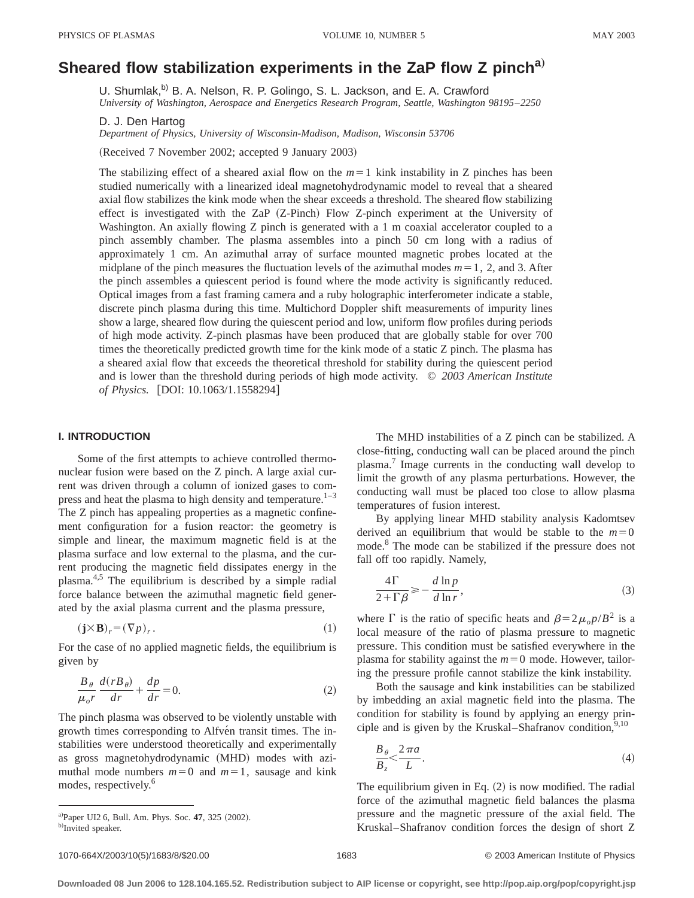# **Sheared flow stabilization experiments in the ZaP flow Z pincha**…

U. Shumlak,<sup>b)</sup> B. A. Nelson, R. P. Golingo, S. L. Jackson, and E. A. Crawford *University of Washington, Aerospace and Energetics Research Program, Seattle, Washington 98195*–*2250*

D. J. Den Hartog

*Department of Physics, University of Wisconsin-Madison, Madison, Wisconsin 53706*

(Received 7 November 2002; accepted 9 January 2003)

The stabilizing effect of a sheared axial flow on the  $m=1$  kink instability in Z pinches has been studied numerically with a linearized ideal magnetohydrodynamic model to reveal that a sheared axial flow stabilizes the kink mode when the shear exceeds a threshold. The sheared flow stabilizing effect is investigated with the ZaP  $(Z-Pinch)$  Flow Z-pinch experiment at the University of Washington. An axially flowing  $Z$  pinch is generated with a  $1 \text{ m}$  coaxial accelerator coupled to a pinch assembly chamber. The plasma assembles into a pinch 50 cm long with a radius of approximately 1 cm. An azimuthal array of surface mounted magnetic probes located at the midplane of the pinch measures the fluctuation levels of the azimuthal modes  $m=1$ , 2, and 3. After the pinch assembles a quiescent period is found where the mode activity is significantly reduced. Optical images from a fast framing camera and a ruby holographic interferometer indicate a stable, discrete pinch plasma during this time. Multichord Doppler shift measurements of impurity lines show a large, sheared flow during the quiescent period and low, uniform flow profiles during periods of high mode activity. Z-pinch plasmas have been produced that are globally stable for over 700 times the theoretically predicted growth time for the kink mode of a static Z pinch. The plasma has a sheared axial flow that exceeds the theoretical threshold for stability during the quiescent period and is lower than the threshold during periods of high mode activity. © *2003 American Institute of Physics.* [DOI: 10.1063/1.1558294]

## **I. INTRODUCTION**

Some of the first attempts to achieve controlled thermonuclear fusion were based on the Z pinch. A large axial current was driven through a column of ionized gases to compress and heat the plasma to high density and temperature. $1-3$ The Z pinch has appealing properties as a magnetic confinement configuration for a fusion reactor: the geometry is simple and linear, the maximum magnetic field is at the plasma surface and low external to the plasma, and the current producing the magnetic field dissipates energy in the plasma.4,5 The equilibrium is described by a simple radial force balance between the azimuthal magnetic field generated by the axial plasma current and the plasma pressure,

$$
(\mathbf{j} \times \mathbf{B})_r = (\nabla p)_r. \tag{1}
$$

For the case of no applied magnetic fields, the equilibrium is given by

$$
\frac{B_{\theta}}{\mu_{o}r}\frac{d(rB_{\theta})}{dr} + \frac{dp}{dr} = 0.
$$
 (2)

The pinch plasma was observed to be violently unstable with growth times corresponding to Alfvén transit times. The instabilities were understood theoretically and experimentally as gross magnetohydrodynamic (MHD) modes with azimuthal mode numbers  $m=0$  and  $m=1$ , sausage and kink modes, respectively.<sup>6</sup>

The MHD instabilities of a Z pinch can be stabilized. A close-fitting, conducting wall can be placed around the pinch plasma.7 Image currents in the conducting wall develop to limit the growth of any plasma perturbations. However, the conducting wall must be placed too close to allow plasma temperatures of fusion interest.

By applying linear MHD stability analysis Kadomtsev derived an equilibrium that would be stable to the  $m=0$ mode.8 The mode can be stabilized if the pressure does not fall off too rapidly. Namely,

$$
\frac{4\Gamma}{2+\Gamma\beta} \ge -\frac{d\ln p}{d\ln r},\tag{3}
$$

where  $\Gamma$  is the ratio of specific heats and  $\beta=2\mu_o p/B^2$  is a local measure of the ratio of plasma pressure to magnetic pressure. This condition must be satisfied everywhere in the plasma for stability against the  $m=0$  mode. However, tailoring the pressure profile cannot stabilize the kink instability.

Both the sausage and kink instabilities can be stabilized by imbedding an axial magnetic field into the plasma. The condition for stability is found by applying an energy principle and is given by the Kruskal–Shafranov condition,  $9,10$ 

$$
\frac{B_{\theta}}{B_{z}} < \frac{2\pi a}{L}.
$$
\n(4)

The equilibrium given in Eq.  $(2)$  is now modified. The radial force of the azimuthal magnetic field balances the plasma pressure and the magnetic pressure of the axial field. The Kruskal–Shafranov condition forces the design of short Z

a)Paper UI2 6, Bull. Am. Phys. Soc. 47, 325 (2002).

b)Invited speaker.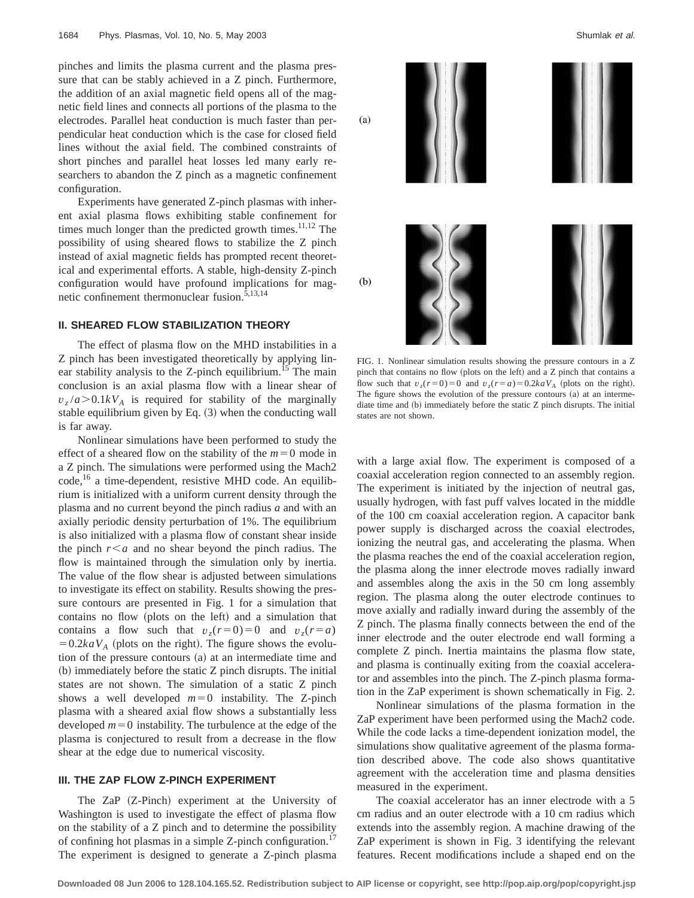pinches and limits the plasma current and the plasma pressure that can be stably achieved in a Z pinch. Furthermore, the addition of an axial magnetic field opens all of the magnetic field lines and connects all portions of the plasma to the electrodes. Parallel heat conduction is much faster than perpendicular heat conduction which is the case for closed field lines without the axial field. The combined constraints of short pinches and parallel heat losses led many early researchers to abandon the Z pinch as a magnetic confinement configuration.

Experiments have generated Z-pinch plasmas with inherent axial plasma flows exhibiting stable confinement for times much longer than the predicted growth times. $11,12$  The possibility of using sheared flows to stabilize the Z pinch instead of axial magnetic fields has prompted recent theoretical and experimental efforts. A stable, high-density Z-pinch configuration would have profound implications for magnetic confinement thermonuclear fusion.<sup>5,13,14</sup>

# **II. SHEARED FLOW STABILIZATION THEORY**

The effect of plasma flow on the MHD instabilities in a Z pinch has been investigated theoretically by applying linear stability analysis to the Z-pinch equilibrium.<sup>15</sup> The main conclusion is an axial plasma flow with a linear shear of  $v_z/a > 0.1kV_A$  is required for stability of the marginally stable equilibrium given by Eq.  $(3)$  when the conducting wall is far away.

Nonlinear simulations have been performed to study the effect of a sheared flow on the stability of the  $m=0$  mode in a Z pinch. The simulations were performed using the Mach2 code,<sup>16</sup> a time-dependent, resistive MHD code. An equilibrium is initialized with a uniform current density through the plasma and no current beyond the pinch radius *a* and with an axially periodic density perturbation of 1%. The equilibrium is also initialized with a plasma flow of constant shear inside the pinch  $r < a$  and no shear beyond the pinch radius. The flow is maintained through the simulation only by inertia. The value of the flow shear is adjusted between simulations to investigate its effect on stability. Results showing the pressure contours are presented in Fig. 1 for a simulation that contains no flow (plots on the left) and a simulation that contains a flow such that  $v_z(r=0)=0$  and  $v_z(r=a)$  $=0.2kaV_A$  (plots on the right). The figure shows the evolution of the pressure contours (a) at an intermediate time and  $(b)$  immediately before the static  $Z$  pinch disrupts. The initial states are not shown. The simulation of a static Z pinch shows a well developed  $m=0$  instability. The Z-pinch plasma with a sheared axial flow shows a substantially less developed  $m=0$  instability. The turbulence at the edge of the plasma is conjectured to result from a decrease in the flow shear at the edge due to numerical viscosity.

# **III. THE ZAP FLOW Z-PINCH EXPERIMENT**

The ZaP (Z-Pinch) experiment at the University of Washington is used to investigate the effect of plasma flow on the stability of a Z pinch and to determine the possibility of confining hot plasmas in a simple Z-pinch configuration.<sup>17</sup> The experiment is designed to generate a Z-pinch plasma



FIG. 1. Nonlinear simulation results showing the pressure contours in a Z pinch that contains no flow (plots on the left) and a Z pinch that contains a flow such that  $v<sub>z</sub>(r=0)=0$  and  $v<sub>z</sub>(r=a)=0.2kaV<sub>A</sub>$  (plots on the right). The figure shows the evolution of the pressure contours (a) at an intermediate time and  $(b)$  immediately before the static  $Z$  pinch disrupts. The initial states are not shown.

with a large axial flow. The experiment is composed of a coaxial acceleration region connected to an assembly region. The experiment is initiated by the injection of neutral gas, usually hydrogen, with fast puff valves located in the middle of the 100 cm coaxial acceleration region. A capacitor bank power supply is discharged across the coaxial electrodes, ionizing the neutral gas, and accelerating the plasma. When the plasma reaches the end of the coaxial acceleration region, the plasma along the inner electrode moves radially inward and assembles along the axis in the 50 cm long assembly region. The plasma along the outer electrode continues to move axially and radially inward during the assembly of the Z pinch. The plasma finally connects between the end of the inner electrode and the outer electrode end wall forming a complete Z pinch. Inertia maintains the plasma flow state, and plasma is continually exiting from the coaxial accelerator and assembles into the pinch. The Z-pinch plasma formation in the ZaP experiment is shown schematically in Fig. 2.

Nonlinear simulations of the plasma formation in the ZaP experiment have been performed using the Mach2 code. While the code lacks a time-dependent ionization model, the simulations show qualitative agreement of the plasma formation described above. The code also shows quantitative agreement with the acceleration time and plasma densities measured in the experiment.

The coaxial accelerator has an inner electrode with a 5 cm radius and an outer electrode with a 10 cm radius which extends into the assembly region. A machine drawing of the ZaP experiment is shown in Fig. 3 identifying the relevant features. Recent modifications include a shaped end on the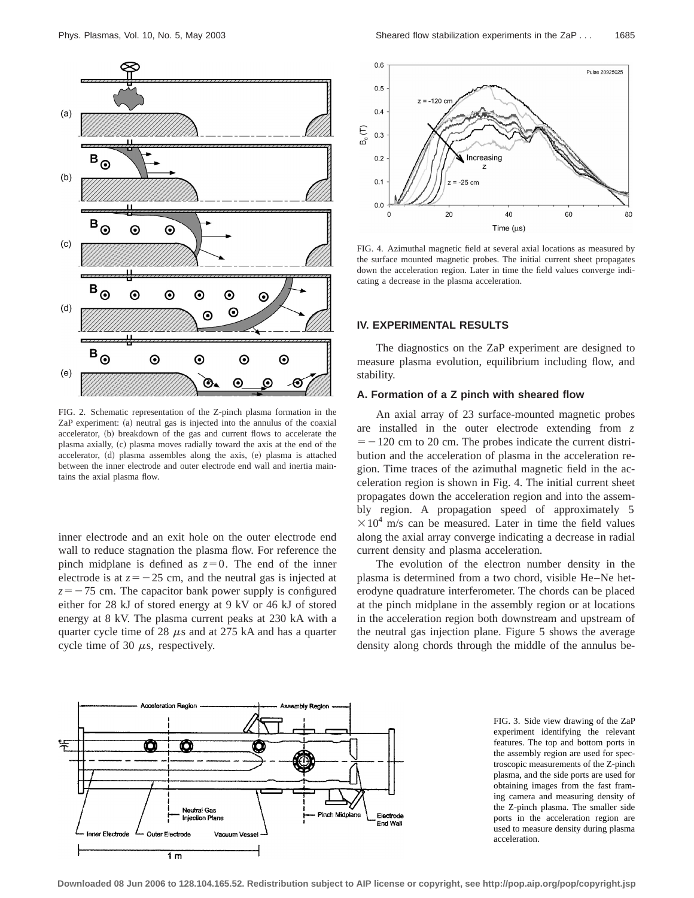

FIG. 2. Schematic representation of the Z-pinch plasma formation in the ZaP experiment: (a) neutral gas is injected into the annulus of the coaxial accelerator, (b) breakdown of the gas and current flows to accelerate the plasma axially, (c) plasma moves radially toward the axis at the end of the accelerator, (d) plasma assembles along the axis, (e) plasma is attached between the inner electrode and outer electrode end wall and inertia maintains the axial plasma flow.

inner electrode and an exit hole on the outer electrode end wall to reduce stagnation the plasma flow. For reference the pinch midplane is defined as  $z=0$ . The end of the inner electrode is at  $z=-25$  cm, and the neutral gas is injected at  $z=-75$  cm. The capacitor bank power supply is configured either for 28 kJ of stored energy at 9 kV or 46 kJ of stored energy at 8 kV. The plasma current peaks at 230 kA with a quarter cycle time of 28  $\mu$ s and at 275 kA and has a quarter cycle time of 30  $\mu$ s, respectively.



FIG. 4. Azimuthal magnetic field at several axial locations as measured by the surface mounted magnetic probes. The initial current sheet propagates down the acceleration region. Later in time the field values converge indicating a decrease in the plasma acceleration.

#### **IV. EXPERIMENTAL RESULTS**

The diagnostics on the ZaP experiment are designed to measure plasma evolution, equilibrium including flow, and stability.

#### **A. Formation of a Z pinch with sheared flow**

An axial array of 23 surface-mounted magnetic probes are installed in the outer electrode extending from *z*  $=$  -120 cm to 20 cm. The probes indicate the current distribution and the acceleration of plasma in the acceleration region. Time traces of the azimuthal magnetic field in the acceleration region is shown in Fig. 4. The initial current sheet propagates down the acceleration region and into the assembly region. A propagation speed of approximately 5  $\times 10^4$  m/s can be measured. Later in time the field values along the axial array converge indicating a decrease in radial current density and plasma acceleration.

The evolution of the electron number density in the plasma is determined from a two chord, visible He–Ne heterodyne quadrature interferometer. The chords can be placed at the pinch midplane in the assembly region or at locations in the acceleration region both downstream and upstream of the neutral gas injection plane. Figure 5 shows the average density along chords through the middle of the annulus be-



FIG. 3. Side view drawing of the ZaP experiment identifying the relevant features. The top and bottom ports in the assembly region are used for spectroscopic measurements of the Z-pinch plasma, and the side ports are used for obtaining images from the fast framing camera and measuring density of the Z-pinch plasma. The smaller side ports in the acceleration region are used to measure density during plasma acceleration.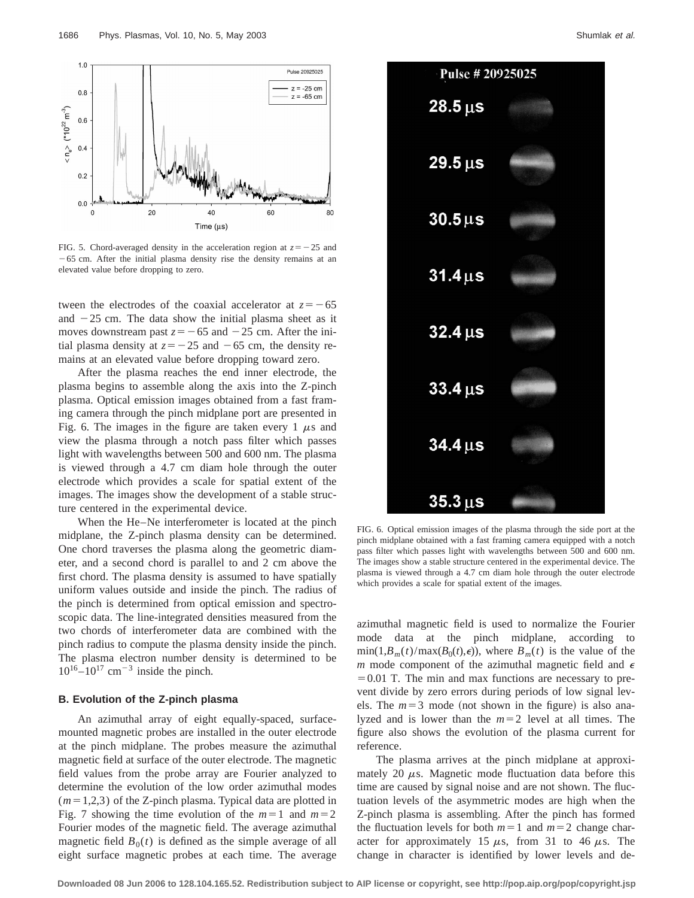

FIG. 5. Chord-averaged density in the acceleration region at  $z = -25$  and  $-65$  cm. After the initial plasma density rise the density remains at an elevated value before dropping to zero.

tween the electrodes of the coaxial accelerator at  $z = -65$ and  $-25$  cm. The data show the initial plasma sheet as it moves downstream past  $z = -65$  and  $-25$  cm. After the initial plasma density at  $z = -25$  and  $-65$  cm, the density remains at an elevated value before dropping toward zero.

After the plasma reaches the end inner electrode, the plasma begins to assemble along the axis into the Z-pinch plasma. Optical emission images obtained from a fast framing camera through the pinch midplane port are presented in Fig. 6. The images in the figure are taken every 1  $\mu$ s and view the plasma through a notch pass filter which passes light with wavelengths between 500 and 600 nm. The plasma is viewed through a 4.7 cm diam hole through the outer electrode which provides a scale for spatial extent of the images. The images show the development of a stable structure centered in the experimental device.

When the He–Ne interferometer is located at the pinch midplane, the Z-pinch plasma density can be determined. One chord traverses the plasma along the geometric diameter, and a second chord is parallel to and 2 cm above the first chord. The plasma density is assumed to have spatially uniform values outside and inside the pinch. The radius of the pinch is determined from optical emission and spectroscopic data. The line-integrated densities measured from the two chords of interferometer data are combined with the pinch radius to compute the plasma density inside the pinch. The plasma electron number density is determined to be  $10^{16}$ – $10^{17}$  cm<sup>-3</sup> inside the pinch.

#### **B. Evolution of the Z-pinch plasma**

An azimuthal array of eight equally-spaced, surfacemounted magnetic probes are installed in the outer electrode at the pinch midplane. The probes measure the azimuthal magnetic field at surface of the outer electrode. The magnetic field values from the probe array are Fourier analyzed to determine the evolution of the low order azimuthal modes  $(m=1,2,3)$  of the Z-pinch plasma. Typical data are plotted in Fig. 7 showing the time evolution of the  $m=1$  and  $m=2$ Fourier modes of the magnetic field. The average azimuthal magnetic field  $B_0(t)$  is defined as the simple average of all eight surface magnetic probes at each time. The average



FIG. 6. Optical emission images of the plasma through the side port at the pinch midplane obtained with a fast framing camera equipped with a notch pass filter which passes light with wavelengths between 500 and 600 nm. The images show a stable structure centered in the experimental device. The plasma is viewed through a 4.7 cm diam hole through the outer electrode which provides a scale for spatial extent of the images.

azimuthal magnetic field is used to normalize the Fourier mode data at the pinch midplane, according to  $\min(1, B_m(t)/\max(B_0(t), \epsilon))$ , where  $B_m(t)$  is the value of the *m* mode component of the azimuthal magnetic field and  $\epsilon$  $=0.01$  T. The min and max functions are necessary to prevent divide by zero errors during periods of low signal levels. The  $m=3$  mode (not shown in the figure) is also analyzed and is lower than the  $m=2$  level at all times. The figure also shows the evolution of the plasma current for reference.

The plasma arrives at the pinch midplane at approximately 20  $\mu$ s. Magnetic mode fluctuation data before this time are caused by signal noise and are not shown. The fluctuation levels of the asymmetric modes are high when the Z-pinch plasma is assembling. After the pinch has formed the fluctuation levels for both  $m=1$  and  $m=2$  change character for approximately 15  $\mu$ s, from 31 to 46  $\mu$ s. The change in character is identified by lower levels and de-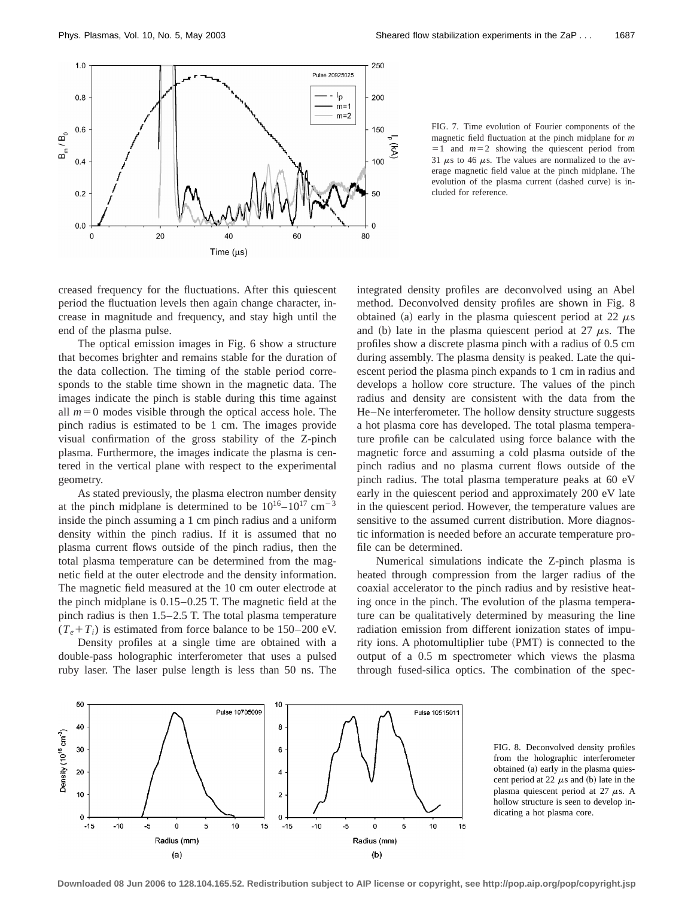

FIG. 7. Time evolution of Fourier components of the magnetic field fluctuation at the pinch midplane for *m*  $=1$  and  $m=2$  showing the quiescent period from 31  $\mu$ s to 46  $\mu$ s. The values are normalized to the average magnetic field value at the pinch midplane. The evolution of the plasma current (dashed curve) is included for reference.

creased frequency for the fluctuations. After this quiescent period the fluctuation levels then again change character, increase in magnitude and frequency, and stay high until the end of the plasma pulse.

The optical emission images in Fig. 6 show a structure that becomes brighter and remains stable for the duration of the data collection. The timing of the stable period corresponds to the stable time shown in the magnetic data. The images indicate the pinch is stable during this time against all  $m=0$  modes visible through the optical access hole. The pinch radius is estimated to be 1 cm. The images provide visual confirmation of the gross stability of the Z-pinch plasma. Furthermore, the images indicate the plasma is centered in the vertical plane with respect to the experimental geometry.

As stated previously, the plasma electron number density at the pinch midplane is determined to be  $10^{16} - 10^{17}$  cm<sup>-3</sup> inside the pinch assuming a 1 cm pinch radius and a uniform density within the pinch radius. If it is assumed that no plasma current flows outside of the pinch radius, then the total plasma temperature can be determined from the magnetic field at the outer electrode and the density information. The magnetic field measured at the 10 cm outer electrode at the pinch midplane is 0.15–0.25 T. The magnetic field at the pinch radius is then 1.5–2.5 T. The total plasma temperature  $(T_e + T_i)$  is estimated from force balance to be 150–200 eV.

Density profiles at a single time are obtained with a double-pass holographic interferometer that uses a pulsed ruby laser. The laser pulse length is less than 50 ns. The integrated density profiles are deconvolved using an Abel method. Deconvolved density profiles are shown in Fig. 8 obtained (a) early in the plasma quiescent period at 22  $\mu$ s and (b) late in the plasma quiescent period at 27  $\mu$ s. The profiles show a discrete plasma pinch with a radius of 0.5 cm during assembly. The plasma density is peaked. Late the quiescent period the plasma pinch expands to 1 cm in radius and develops a hollow core structure. The values of the pinch radius and density are consistent with the data from the He–Ne interferometer. The hollow density structure suggests a hot plasma core has developed. The total plasma temperature profile can be calculated using force balance with the magnetic force and assuming a cold plasma outside of the pinch radius and no plasma current flows outside of the pinch radius. The total plasma temperature peaks at 60 eV early in the quiescent period and approximately 200 eV late in the quiescent period. However, the temperature values are sensitive to the assumed current distribution. More diagnostic information is needed before an accurate temperature profile can be determined.

Numerical simulations indicate the Z-pinch plasma is heated through compression from the larger radius of the coaxial accelerator to the pinch radius and by resistive heating once in the pinch. The evolution of the plasma temperature can be qualitatively determined by measuring the line radiation emission from different ionization states of impurity ions. A photomultiplier tube  $(PMT)$  is connected to the output of a 0.5 m spectrometer which views the plasma through fused-silica optics. The combination of the spec-



FIG. 8. Deconvolved density profiles from the holographic interferometer obtained (a) early in the plasma quiescent period at 22  $\mu$ s and (b) late in the plasma quiescent period at 27  $\mu$ s. A hollow structure is seen to develop indicating a hot plasma core.

**Downloaded 08 Jun 2006 to 128.104.165.52. Redistribution subject to AIP license or copyright, see http://pop.aip.org/pop/copyright.jsp**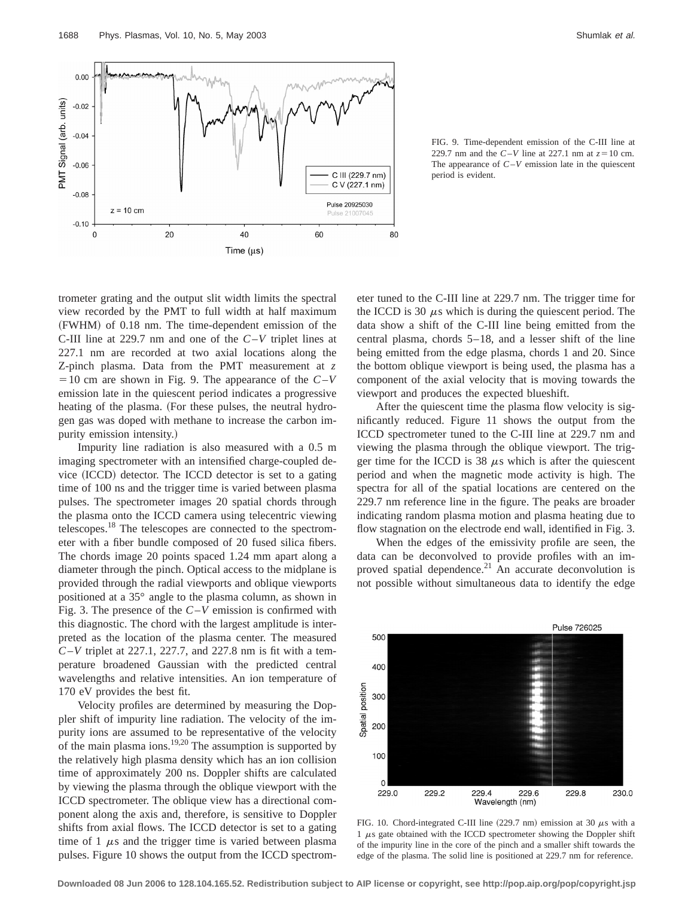

FIG. 9. Time-dependent emission of the C-III line at 229.7 nm and the  $C-V$  line at 227.1 nm at  $z=10$  cm. The appearance of *C*–*V* emission late in the quiescent period is evident.

trometer grating and the output slit width limits the spectral view recorded by the PMT to full width at half maximum (FWHM) of 0.18 nm. The time-dependent emission of the C-III line at 229.7 nm and one of the *C*–*V* triplet lines at 227.1 nm are recorded at two axial locations along the Z-pinch plasma. Data from the PMT measurement at *z*  $=$  10 cm are shown in Fig. 9. The appearance of the  $C-V$ emission late in the quiescent period indicates a progressive heating of the plasma. (For these pulses, the neutral hydrogen gas was doped with methane to increase the carbon impurity emission intensity.)

Impurity line radiation is also measured with a 0.5 m imaging spectrometer with an intensified charge-coupled device (ICCD) detector. The ICCD detector is set to a gating time of 100 ns and the trigger time is varied between plasma pulses. The spectrometer images 20 spatial chords through the plasma onto the ICCD camera using telecentric viewing telescopes.18 The telescopes are connected to the spectrometer with a fiber bundle composed of 20 fused silica fibers. The chords image 20 points spaced 1.24 mm apart along a diameter through the pinch. Optical access to the midplane is provided through the radial viewports and oblique viewports positioned at a 35° angle to the plasma column, as shown in Fig. 3. The presence of the *C*–*V* emission is confirmed with this diagnostic. The chord with the largest amplitude is interpreted as the location of the plasma center. The measured *C*–*V* triplet at 227.1, 227.7, and 227.8 nm is fit with a temperature broadened Gaussian with the predicted central wavelengths and relative intensities. An ion temperature of 170 eV provides the best fit.

Velocity profiles are determined by measuring the Doppler shift of impurity line radiation. The velocity of the impurity ions are assumed to be representative of the velocity of the main plasma ions.<sup>19,20</sup> The assumption is supported by the relatively high plasma density which has an ion collision time of approximately 200 ns. Doppler shifts are calculated by viewing the plasma through the oblique viewport with the ICCD spectrometer. The oblique view has a directional component along the axis and, therefore, is sensitive to Doppler shifts from axial flows. The ICCD detector is set to a gating time of 1  $\mu$ s and the trigger time is varied between plasma pulses. Figure 10 shows the output from the ICCD spectrometer tuned to the C-III line at 229.7 nm. The trigger time for the ICCD is 30  $\mu$ s which is during the quiescent period. The data show a shift of the C-III line being emitted from the central plasma, chords 5–18, and a lesser shift of the line being emitted from the edge plasma, chords 1 and 20. Since the bottom oblique viewport is being used, the plasma has a component of the axial velocity that is moving towards the viewport and produces the expected blueshift.

After the quiescent time the plasma flow velocity is significantly reduced. Figure 11 shows the output from the ICCD spectrometer tuned to the C-III line at 229.7 nm and viewing the plasma through the oblique viewport. The trigger time for the ICCD is 38  $\mu$ s which is after the quiescent period and when the magnetic mode activity is high. The spectra for all of the spatial locations are centered on the 229.7 nm reference line in the figure. The peaks are broader indicating random plasma motion and plasma heating due to flow stagnation on the electrode end wall, identified in Fig. 3.

When the edges of the emissivity profile are seen, the data can be deconvolved to provide profiles with an improved spatial dependence.<sup>21</sup> An accurate deconvolution is not possible without simultaneous data to identify the edge



FIG. 10. Chord-integrated C-III line (229.7 nm) emission at 30  $\mu$ s with a  $1 \mu s$  gate obtained with the ICCD spectrometer showing the Doppler shift of the impurity line in the core of the pinch and a smaller shift towards the edge of the plasma. The solid line is positioned at 229.7 nm for reference.

**Downloaded 08 Jun 2006 to 128.104.165.52. Redistribution subject to AIP license or copyright, see http://pop.aip.org/pop/copyright.jsp**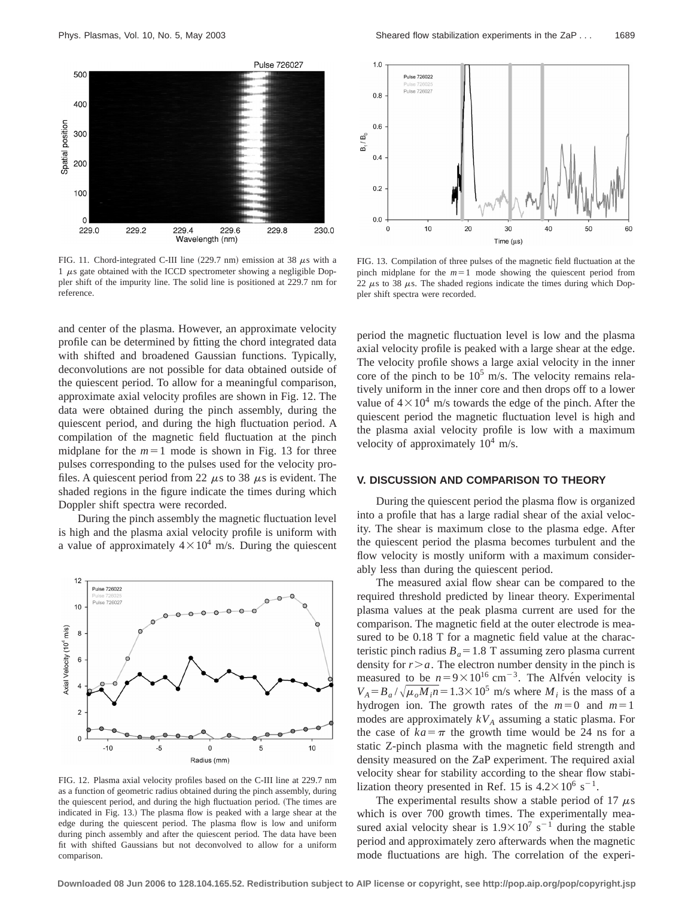

FIG. 11. Chord-integrated C-III line (229.7 nm) emission at 38  $\mu$ s with a 1  $\mu$ s gate obtained with the ICCD spectrometer showing a negligible Doppler shift of the impurity line. The solid line is positioned at 229.7 nm for reference.

and center of the plasma. However, an approximate velocity profile can be determined by fitting the chord integrated data with shifted and broadened Gaussian functions. Typically, deconvolutions are not possible for data obtained outside of the quiescent period. To allow for a meaningful comparison, approximate axial velocity profiles are shown in Fig. 12. The data were obtained during the pinch assembly, during the quiescent period, and during the high fluctuation period. A compilation of the magnetic field fluctuation at the pinch midplane for the  $m=1$  mode is shown in Fig. 13 for three pulses corresponding to the pulses used for the velocity profiles. A quiescent period from 22  $\mu$ s to 38  $\mu$ s is evident. The shaded regions in the figure indicate the times during which Doppler shift spectra were recorded.

During the pinch assembly the magnetic fluctuation level is high and the plasma axial velocity profile is uniform with a value of approximately  $4 \times 10^4$  m/s. During the quiescent



FIG. 12. Plasma axial velocity profiles based on the C-III line at 229.7 nm as a function of geometric radius obtained during the pinch assembly, during the quiescent period, and during the high fluctuation period. (The times are indicated in Fig. 13.) The plasma flow is peaked with a large shear at the edge during the quiescent period. The plasma flow is low and uniform during pinch assembly and after the quiescent period. The data have been fit with shifted Gaussians but not deconvolved to allow for a uniform comparison.



FIG. 13. Compilation of three pulses of the magnetic field fluctuation at the pinch midplane for the  $m=1$  mode showing the quiescent period from 22  $\mu$ s to 38  $\mu$ s. The shaded regions indicate the times during which Doppler shift spectra were recorded.

period the magnetic fluctuation level is low and the plasma axial velocity profile is peaked with a large shear at the edge. The velocity profile shows a large axial velocity in the inner core of the pinch to be  $10^5$  m/s. The velocity remains relatively uniform in the inner core and then drops off to a lower value of  $4\times10^4$  m/s towards the edge of the pinch. After the quiescent period the magnetic fluctuation level is high and the plasma axial velocity profile is low with a maximum velocity of approximately  $10^4$  m/s.

# **V. DISCUSSION AND COMPARISON TO THEORY**

During the quiescent period the plasma flow is organized into a profile that has a large radial shear of the axial velocity. The shear is maximum close to the plasma edge. After the quiescent period the plasma becomes turbulent and the flow velocity is mostly uniform with a maximum considerably less than during the quiescent period.

The measured axial flow shear can be compared to the required threshold predicted by linear theory. Experimental plasma values at the peak plasma current are used for the comparison. The magnetic field at the outer electrode is measured to be 0.18 T for a magnetic field value at the characteristic pinch radius  $B_a = 1.8$  T assuming zero plasma current density for  $r > a$ . The electron number density in the pinch is measured to be  $n=9\times10^{16}$  cm<sup>-3</sup>. The Alfve<sup>n</sup> velocity is  $V_A = B_a / \sqrt{\mu_o M_i n} = 1.3 \times 10^5$  m/s where  $M_i$  is the mass of a hydrogen ion. The growth rates of the  $m=0$  and  $m=1$ modes are approximately  $kV_A$  assuming a static plasma. For the case of  $ka = \pi$  the growth time would be 24 ns for a static Z-pinch plasma with the magnetic field strength and density measured on the ZaP experiment. The required axial velocity shear for stability according to the shear flow stabilization theory presented in Ref. 15 is  $4.2 \times 10^6$  s<sup>-1</sup>.

The experimental results show a stable period of 17  $\mu$ s which is over 700 growth times. The experimentally measured axial velocity shear is  $1.9 \times 10^7$  s<sup>-1</sup> during the stable period and approximately zero afterwards when the magnetic mode fluctuations are high. The correlation of the experi-

**Downloaded 08 Jun 2006 to 128.104.165.52. Redistribution subject to AIP license or copyright, see http://pop.aip.org/pop/copyright.jsp**